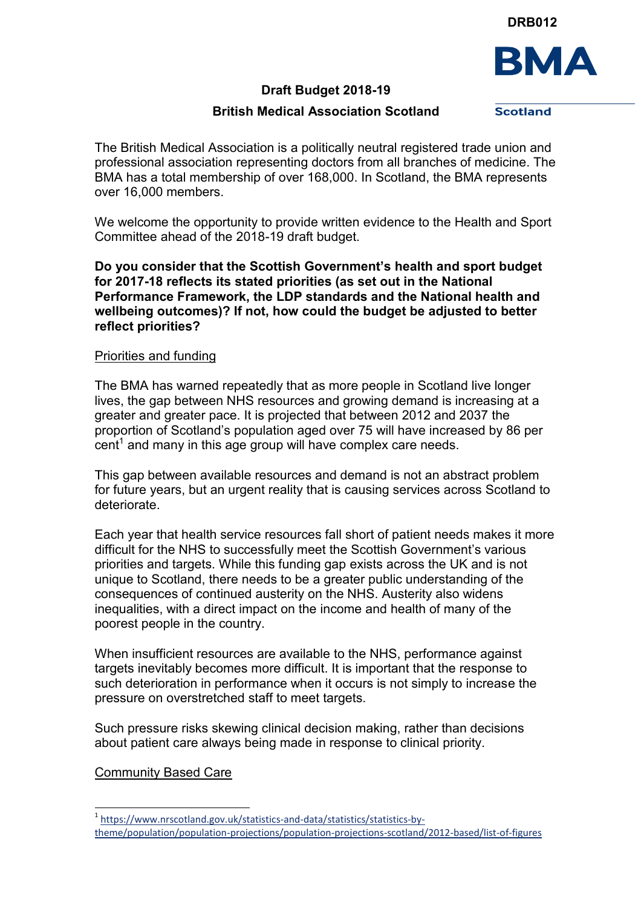**DRB012**



## **Draft Budget 2018-19**

# **British Medical Association Scotland**

**Scotland** 

The British Medical Association is a politically neutral registered trade union and professional association representing doctors from all branches of medicine. The BMA has a total membership of over 168,000. In Scotland, the BMA represents over 16,000 members.

We welcome the opportunity to provide written evidence to the Health and Sport Committee ahead of the 2018-19 draft budget.

**Do you consider that the Scottish Government's health and sport budget for 2017-18 reflects its stated priorities (as set out in the National Performance Framework, the LDP standards and the National health and wellbeing outcomes)? If not, how could the budget be adjusted to better reflect priorities?**

### Priorities and funding

The BMA has warned repeatedly that as more people in Scotland live longer lives, the gap between NHS resources and growing demand is increasing at a greater and greater pace. It is projected that between 2012 and 2037 the proportion of Scotland's population aged over 75 will have increased by 86 per  $cent<sup>1</sup>$  and many in this age group will have complex care needs.

This gap between available resources and demand is not an abstract problem for future years, but an urgent reality that is causing services across Scotland to deteriorate.

Each year that health service resources fall short of patient needs makes it more difficult for the NHS to successfully meet the Scottish Government's various priorities and targets. While this funding gap exists across the UK and is not unique to Scotland, there needs to be a greater public understanding of the consequences of continued austerity on the NHS. Austerity also widens inequalities, with a direct impact on the income and health of many of the poorest people in the country.

When insufficient resources are available to the NHS, performance against targets inevitably becomes more difficult. It is important that the response to such deterioration in performance when it occurs is not simply to increase the pressure on overstretched staff to meet targets.

Such pressure risks skewing clinical decision making, rather than decisions about patient care always being made in response to clinical priority.

### Community Based Care

ı.

<sup>&</sup>lt;sup>1</sup> [https://www.nrscotland.gov.uk/statistics-and-data/statistics/statistics-by](https://www.nrscotland.gov.uk/statistics-and-data/statistics/statistics-by-theme/population/population-projections/population-projections-scotland/2012-based/list-of-figures)[theme/population/population-projections/population-projections-scotland/2012-based/list-of-figures](https://www.nrscotland.gov.uk/statistics-and-data/statistics/statistics-by-theme/population/population-projections/population-projections-scotland/2012-based/list-of-figures)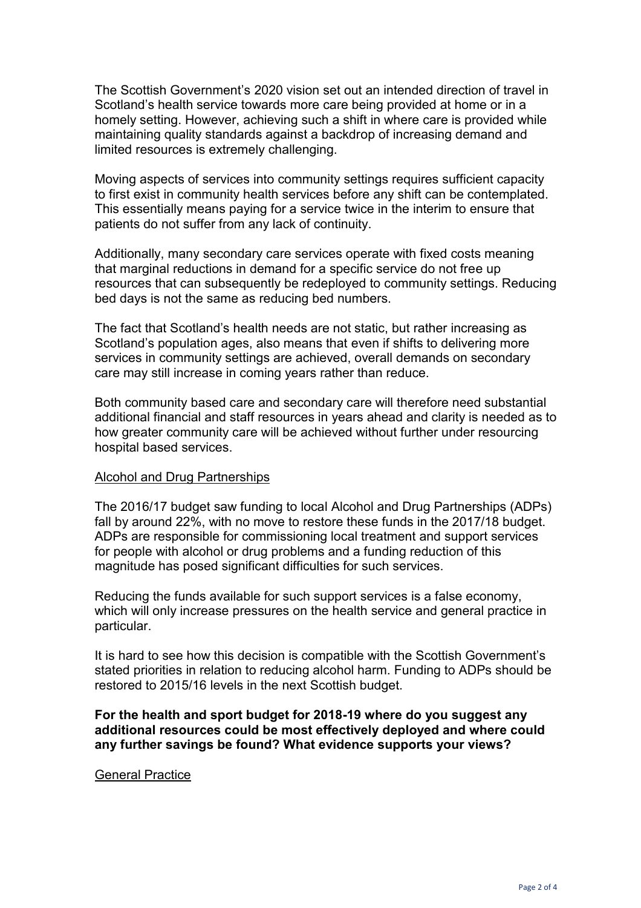The Scottish Government's 2020 vision set out an intended direction of travel in Scotland's health service towards more care being provided at home or in a homely setting. However, achieving such a shift in where care is provided while maintaining quality standards against a backdrop of increasing demand and limited resources is extremely challenging.

Moving aspects of services into community settings requires sufficient capacity to first exist in community health services before any shift can be contemplated. This essentially means paying for a service twice in the interim to ensure that patients do not suffer from any lack of continuity.

Additionally, many secondary care services operate with fixed costs meaning that marginal reductions in demand for a specific service do not free up resources that can subsequently be redeployed to community settings. Reducing bed days is not the same as reducing bed numbers.

The fact that Scotland's health needs are not static, but rather increasing as Scotland's population ages, also means that even if shifts to delivering more services in community settings are achieved, overall demands on secondary care may still increase in coming years rather than reduce.

Both community based care and secondary care will therefore need substantial additional financial and staff resources in years ahead and clarity is needed as to how greater community care will be achieved without further under resourcing hospital based services.

### Alcohol and Drug Partnerships

The 2016/17 budget saw funding to local Alcohol and Drug Partnerships (ADPs) fall by around 22%, with no move to restore these funds in the 2017/18 budget. ADPs are responsible for commissioning local treatment and support services for people with alcohol or drug problems and a funding reduction of this magnitude has posed significant difficulties for such services.

Reducing the funds available for such support services is a false economy, which will only increase pressures on the health service and general practice in particular.

It is hard to see how this decision is compatible with the Scottish Government's stated priorities in relation to reducing alcohol harm. Funding to ADPs should be restored to 2015/16 levels in the next Scottish budget.

### **For the health and sport budget for 2018-19 where do you suggest any additional resources could be most effectively deployed and where could any further savings be found? What evidence supports your views?**

#### General Practice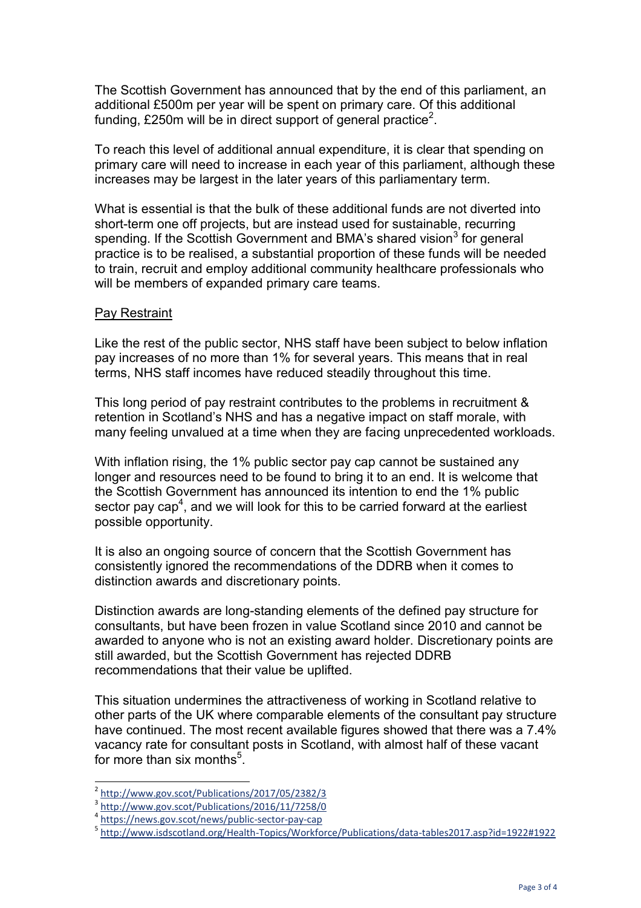The Scottish Government has announced that by the end of this parliament, an additional £500m per year will be spent on primary care. Of this additional funding, £250m will be in direct support of general practice<sup>2</sup>.

To reach this level of additional annual expenditure, it is clear that spending on primary care will need to increase in each year of this parliament, although these increases may be largest in the later years of this parliamentary term.

What is essential is that the bulk of these additional funds are not diverted into short-term one off projects, but are instead used for sustainable, recurring spending. If the Scottish Government and BMA's shared vision<sup>3</sup> for general practice is to be realised, a substantial proportion of these funds will be needed to train, recruit and employ additional community healthcare professionals who will be members of expanded primary care teams.

### Pay Restraint

Like the rest of the public sector, NHS staff have been subject to below inflation pay increases of no more than 1% for several years. This means that in real terms, NHS staff incomes have reduced steadily throughout this time.

This long period of pay restraint contributes to the problems in recruitment & retention in Scotland's NHS and has a negative impact on staff morale, with many feeling unvalued at a time when they are facing unprecedented workloads.

With inflation rising, the 1% public sector pay cap cannot be sustained any longer and resources need to be found to bring it to an end. It is welcome that the Scottish Government has announced its intention to end the 1% public sector pay cap<sup>4</sup>, and we will look for this to be carried forward at the earliest possible opportunity.

It is also an ongoing source of concern that the Scottish Government has consistently ignored the recommendations of the DDRB when it comes to distinction awards and discretionary points.

Distinction awards are long-standing elements of the defined pay structure for consultants, but have been frozen in value Scotland since 2010 and cannot be awarded to anyone who is not an existing award holder. Discretionary points are still awarded, but the Scottish Government has rejected DDRB recommendations that their value be uplifted.

This situation undermines the attractiveness of working in Scotland relative to other parts of the UK where comparable elements of the consultant pay structure have continued. The most recent available figures showed that there was a 7.4% vacancy rate for consultant posts in Scotland, with almost half of these vacant for more than six months $<sup>5</sup>$ .</sup>

i<br>L

<sup>2</sup> <http://www.gov.scot/Publications/2017/05/2382/3>

<sup>3</sup> <http://www.gov.scot/Publications/2016/11/7258/0>

<sup>4</sup> <https://news.gov.scot/news/public-sector-pay-cap>

<sup>5</sup> <http://www.isdscotland.org/Health-Topics/Workforce/Publications/data-tables2017.asp?id=1922#1922>